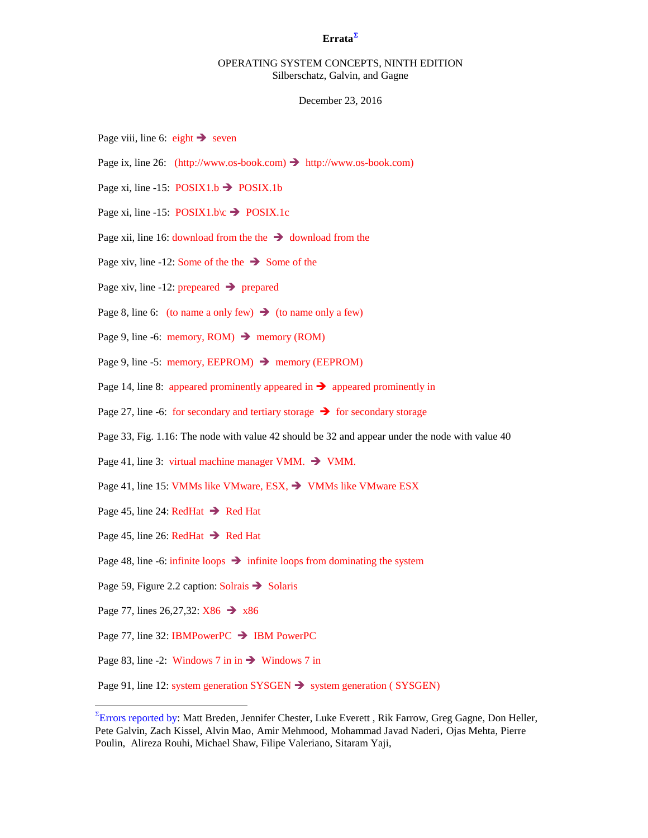## **Errata**[Σ](#page-0-0)

# OPERATING SYSTEM CONCEPTS, NINTH EDITION Silberschatz, Galvin, and Gagne

#### December 23, 2016

- Page viii, line 6: eight  $\rightarrow$  seven
- Page ix, line 26: (http://www.os-book.com)  $\rightarrow$  http://www.os-book.com)
- Page xi, line -15:  $\text{POSIX1.b} \rightarrow \text{POSIX.1b}$
- Page xi, line -15:  $\text{POSIX1.b}\&\rightarrow \text{POSIX.1c}$
- Page xii, line 16: download from the the  $\rightarrow$  download from the
- Page xiv, line -12: Some of the the  $\rightarrow$  Some of the
- Page xiv, line -12: prepeared  $\rightarrow$  prepared
- Page 8, line 6: (to name a only few)  $\rightarrow$  (to name only a few)
- Page 9, line -6: memory, ROM)  $\rightarrow$  memory (ROM)
- Page 9, line -5: memory, EEPROM)  $\rightarrow$  memory (EEPROM)
- Page 14, line 8: appeared prominently appeared in  $\rightarrow$  appeared prominently in
- Page 27, line -6: for secondary and tertiary storage  $\rightarrow$  for secondary storage
- Page 33, Fig. 1.16: The node with value 42 should be 32 and appear under the node with value 40
- Page 41, line 3: virtual machine manager VMM.  $\rightarrow$  VMM.
- Page 41, line 15: VMMs like VMware, ESX,  $\rightarrow$  VMMs like VMware ESX
- Page 45, line 24: RedHat  $\rightarrow$  Red Hat
- Page 45, line 26: RedHat  $\rightarrow$  Red Hat
- Page 48, line -6: infinite loops  $\rightarrow$  infinite loops from dominating the system
- Page 59, Figure 2.2 caption: Solrais  $\rightarrow$  Solaris
- Page 77, lines 26,27,32:  $X86 \rightarrow X86$

 $\overline{a}$ 

- Page 77, line 32: IBMPowerPC  $\rightarrow$  IBM PowerPC
- Page 83, line -2: Windows 7 in in  $\rightarrow$  Windows 7 in

Page 91, line 12: system generation  $SYSGEN \rightarrow$  system generation ( SYSGEN)

<span id="page-0-0"></span> $\Sigma$ Errors reported by: Matt Breden, Jennifer Chester, Luke Everett , Rik Farrow, Greg Gagne, Don Heller, Pete Galvin, Zach Kissel, Alvin Mao, Amir Mehmood, Mohammad Javad Naderi, Ojas Mehta, Pierre Poulin, Alireza Rouhi, Michael Shaw, Filipe Valeriano, Sitaram Yaji,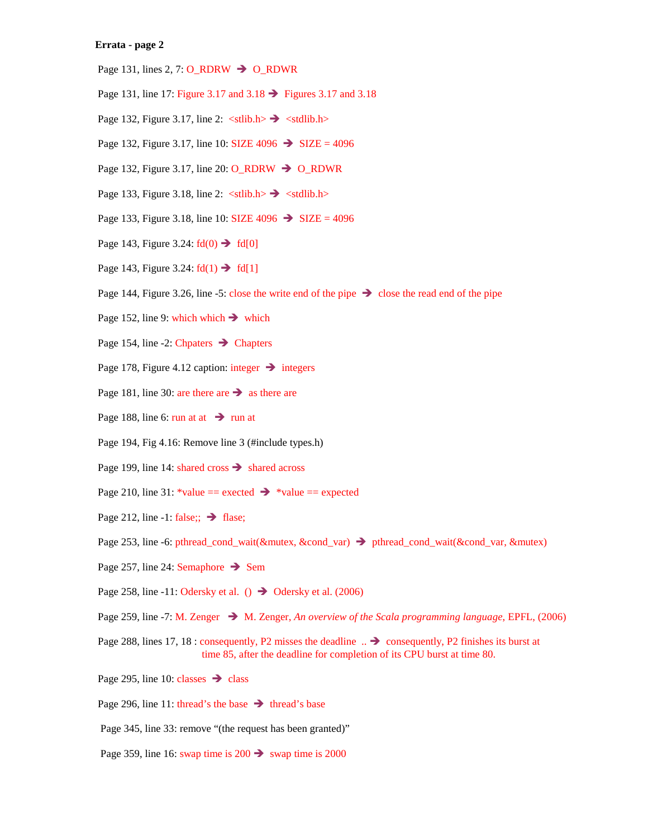## **Errata - page 2**

- Page 131, lines 2, 7:  $O_RDRW \rightarrow O_RDWR$
- Page 131, line 17: Figure 3.17 and  $3.18 \rightarrow$  Figures 3.17 and 3.18
- Page 132, Figure 3.17, line 2:  $\langle \text{stlib.h}\rangle \rightarrow \langle \text{stdlib.h}\rangle$
- Page 132, Figure 3.17, line 10: SIZE  $4096 \rightarrow$  SIZE = 4096
- Page 132, Figure 3.17, line 20:  $O_RDRW \rightarrow O_RDWR$
- Page 133, Figure 3.18, line 2:  $\langle \text{stlib.h}\rangle \rightarrow \langle \text{stdlib.h}\rangle$
- Page 133, Figure 3.18, line 10: SIZE  $4096 \rightarrow$  SIZE = 4096
- Page 143, Figure 3.24:  $\text{fd}(0) \rightarrow \text{fd}[0]$
- Page 143, Figure 3.24:  $fd(1) \rightarrow fd[1]$
- Page 144, Figure 3.26, line -5: close the write end of the pipe  $\rightarrow$  close the read end of the pipe
- Page 152, line 9: which which  $\rightarrow$  which
- Page 154, line -2: Chpaters  $\rightarrow$  Chapters
- Page 178, Figure 4.12 caption: integer  $\rightarrow$  integers
- Page 181, line 30: are there are  $\rightarrow$  as there are
- Page 188, line 6: run at at  $\rightarrow$  run at
- Page 194, Fig 4.16: Remove line 3 (#include types.h)
- Page 199, line 14: shared cross  $\rightarrow$  shared across
- Page 210, line 31: \*value == exected  $\rightarrow$  \*value == expected
- Page 212, line -1: false;;  $\rightarrow$  flase;
- Page 253, line -6: pthread\_cond\_wait(&mutex, &cond\_var) → pthread\_cond\_wait(&cond\_var, &mutex)
- Page 257, line 24: Semaphore  $\rightarrow$  Sem
- Page 258, line -11: Odersky et al. ()  $\rightarrow$  Odersky et al. (2006)
- Page 259, line -7: M. Zenger → M. Zenger, *An overview of the Scala programming language*, EPFL, (2006)
- Page 288, lines 17, 18 : consequently, P2 misses the deadline  $\therefore \rightarrow \text{consequently, P2 finishes its burst at }$ time 85, after the deadline for completion of its CPU burst at time 80.
- Page 295, line 10: classes  $\rightarrow$  class
- Page 296, line 11: thread's the base  $\rightarrow$  thread's base
- Page 345, line 33: remove "(the request has been granted)"
- Page 359, line 16: swap time is  $200 \rightarrow$  swap time is 2000